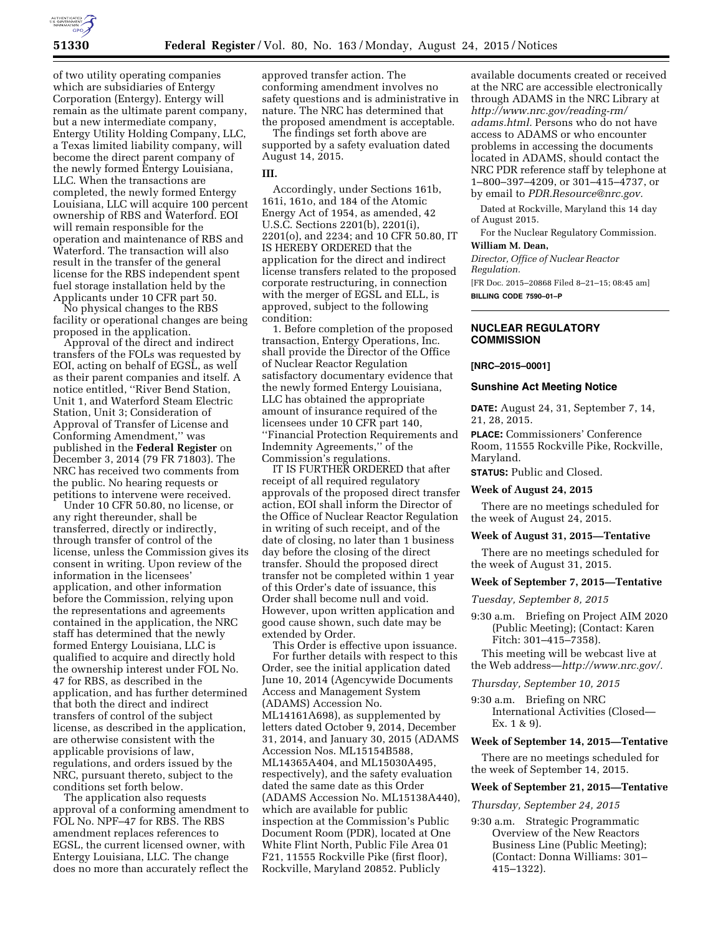

of two utility operating companies which are subsidiaries of Entergy Corporation (Entergy). Entergy will remain as the ultimate parent company, but a new intermediate company, Entergy Utility Holding Company, LLC, a Texas limited liability company, will become the direct parent company of the newly formed Entergy Louisiana, LLC. When the transactions are completed, the newly formed Entergy Louisiana, LLC will acquire 100 percent ownership of RBS and Waterford. EOI will remain responsible for the operation and maintenance of RBS and Waterford. The transaction will also result in the transfer of the general license for the RBS independent spent fuel storage installation held by the Applicants under 10 CFR part 50.

No physical changes to the RBS facility or operational changes are being proposed in the application.

Approval of the direct and indirect transfers of the FOLs was requested by EOI, acting on behalf of EGSL, as well as their parent companies and itself. A notice entitled, ''River Bend Station, Unit 1, and Waterford Steam Electric Station, Unit 3; Consideration of Approval of Transfer of License and Conforming Amendment,'' was published in the **Federal Register** on December 3, 2014 (79 FR 71803). The NRC has received two comments from the public. No hearing requests or petitions to intervene were received.

Under 10 CFR 50.80, no license, or any right thereunder, shall be transferred, directly or indirectly, through transfer of control of the license, unless the Commission gives its consent in writing. Upon review of the information in the licensees' application, and other information before the Commission, relying upon the representations and agreements contained in the application, the NRC staff has determined that the newly formed Entergy Louisiana, LLC is qualified to acquire and directly hold the ownership interest under FOL No. 47 for RBS, as described in the application, and has further determined that both the direct and indirect transfers of control of the subject license, as described in the application, are otherwise consistent with the applicable provisions of law, regulations, and orders issued by the NRC, pursuant thereto, subject to the conditions set forth below.

The application also requests approval of a conforming amendment to FOL No. NPF–47 for RBS. The RBS amendment replaces references to EGSL, the current licensed owner, with Entergy Louisiana, LLC. The change does no more than accurately reflect the

approved transfer action. The conforming amendment involves no safety questions and is administrative in nature. The NRC has determined that the proposed amendment is acceptable.

The findings set forth above are supported by a safety evaluation dated August 14, 2015.

# **III.**

Accordingly, under Sections 161b, 161i, 161o, and 184 of the Atomic Energy Act of 1954, as amended, 42 U.S.C. Sections 2201(b), 2201(i), 2201(o), and 2234; and 10 CFR 50.80, IT IS HEREBY ORDERED that the application for the direct and indirect license transfers related to the proposed corporate restructuring, in connection with the merger of EGSL and ELL, is approved, subject to the following condition:

1. Before completion of the proposed transaction, Entergy Operations, Inc. shall provide the Director of the Office of Nuclear Reactor Regulation satisfactory documentary evidence that the newly formed Entergy Louisiana, LLC has obtained the appropriate amount of insurance required of the licensees under 10 CFR part 140, ''Financial Protection Requirements and Indemnity Agreements,'' of the Commission's regulations.

IT IS FURTHER ORDERED that after receipt of all required regulatory approvals of the proposed direct transfer action, EOI shall inform the Director of the Office of Nuclear Reactor Regulation in writing of such receipt, and of the date of closing, no later than 1 business day before the closing of the direct transfer. Should the proposed direct transfer not be completed within 1 year of this Order's date of issuance, this Order shall become null and void. However, upon written application and good cause shown, such date may be extended by Order.

This Order is effective upon issuance. For further details with respect to this Order, see the initial application dated June 10, 2014 (Agencywide Documents Access and Management System (ADAMS) Accession No. ML14161A698), as supplemented by letters dated October 9, 2014, December 31, 2014, and January 30, 2015 (ADAMS Accession Nos. ML15154B588, ML14365A404, and ML15030A495, respectively), and the safety evaluation dated the same date as this Order (ADAMS Accession No. ML15138A440), which are available for public inspection at the Commission's Public Document Room (PDR), located at One White Flint North, Public File Area 01 F21, 11555 Rockville Pike (first floor), Rockville, Maryland 20852. Publicly

available documents created or received at the NRC are accessible electronically through ADAMS in the NRC Library at *[http://www.nrc.gov/reading-rm/](http://www.nrc.gov/reading-rm/adams.html) [adams.html.](http://www.nrc.gov/reading-rm/adams.html)* Persons who do not have access to ADAMS or who encounter problems in accessing the documents located in ADAMS, should contact the NRC PDR reference staff by telephone at 1–800–397–4209, or 301–415–4737, or by email to *[PDR.Resource@nrc.gov.](mailto:PDR.Resource@nrc.gov)* 

Dated at Rockville, Maryland this 14 day of August 2015.

For the Nuclear Regulatory Commission. **William M. Dean,** 

*Director, Office of Nuclear Reactor Regulation.* 

[FR Doc. 2015–20868 Filed 8–21–15; 08:45 am] **BILLING CODE 7590–01–P** 

# **NUCLEAR REGULATORY COMMISSION**

### **[NRC–2015–0001]**

# **Sunshine Act Meeting Notice**

**DATE:** August 24, 31, September 7, 14, 21, 28, 2015.

**PLACE:** Commissioners' Conference Room, 11555 Rockville Pike, Rockville, Maryland.

**STATUS:** Public and Closed.

## **Week of August 24, 2015**

There are no meetings scheduled for the week of August 24, 2015.

### **Week of August 31, 2015—Tentative**

There are no meetings scheduled for the week of August 31, 2015.

## **Week of September 7, 2015—Tentative**

*Tuesday, September 8, 2015* 

9:30 a.m. Briefing on Project AIM 2020 (Public Meeting); (Contact: Karen Fitch: 301–415–7358).

This meeting will be webcast live at the Web address—*[http://www.nrc.gov/.](http://www.nrc.gov/)* 

### *Thursday, September 10, 2015*

9:30 a.m. Briefing on NRC International Activities (Closed— Ex. 1 & 9).

## **Week of September 14, 2015—Tentative**

There are no meetings scheduled for the week of September 14, 2015.

### **Week of September 21, 2015—Tentative**

*Thursday, September 24, 2015* 

9:30 a.m. Strategic Programmatic Overview of the New Reactors Business Line (Public Meeting); (Contact: Donna Williams: 301– 415–1322).